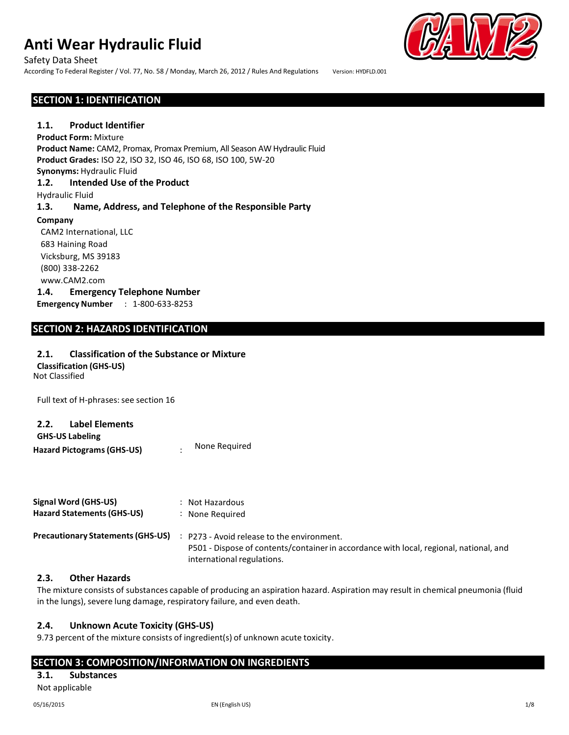Safety Data Sheet According To Federal Register / Vol. 77, No. 58 / Monday, March 26, 2012 / Rules And Regulations Version: HYDFLD.001

## **SECTION 1: IDENTIFICATION**

## **1.1. Product Identifier**

**Product Form:** Mixture **Product Name:** CAM2, Promax, Promax Premium, All Season AW Hydraulic Fluid **Product Grades:** ISO 22, ISO 32, ISO 46, ISO 68, ISO 100, 5W-20 **Synonyms:** Hydraulic Fluid **1.2. Intended Use of the Product** Hydraulic Fluid **1.3. Name, Address, and Telephone of the Responsible Party Company** CAM2 International, LLC 683 Haining Road Vicksburg, MS 39183 (800) 338-2262 www.CAM2.com **1.4. Emergency Telephone Number Emergency Number** : 1-800-633-8253

## **SECTION 2: HAZARDS IDENTIFICATION**

## **2.1. Classification of the Substance or Mixture**

Not Classified **Classification (GHS-US)**

Full text of H-phrases: see section 16

| 2.2.                              | Label Elements |               |
|-----------------------------------|----------------|---------------|
| <b>GHS-US Labeling</b>            |                |               |
| <b>Hazard Pictograms (GHS-US)</b> |                | None Required |
|                                   |                |               |

| Signal Word (GHS-US)                     | : Not Hazardous                                                                                                                                                    |
|------------------------------------------|--------------------------------------------------------------------------------------------------------------------------------------------------------------------|
| <b>Hazard Statements (GHS-US)</b>        | : None Required                                                                                                                                                    |
| <b>Precautionary Statements (GHS-US)</b> | : P273 - Avoid release to the environment.<br>P501 - Dispose of contents/container in accordance with local, regional, national, and<br>international regulations. |

## **2.3. Other Hazards**

The mixture consists of substances capable of producing an aspiration hazard. Aspiration may result in chemical pneumonia (fluid in the lungs), severe lung damage, respiratory failure, and even death.

## **2.4. Unknown Acute Toxicity (GHS-US)**

9.73 percent of the mixture consists of ingredient(s) of unknown acute toxicity.

## **SECTION 3: COMPOSITION/INFORMATION ON INGREDIENTS**

## **3.1. Substances**

Not applicable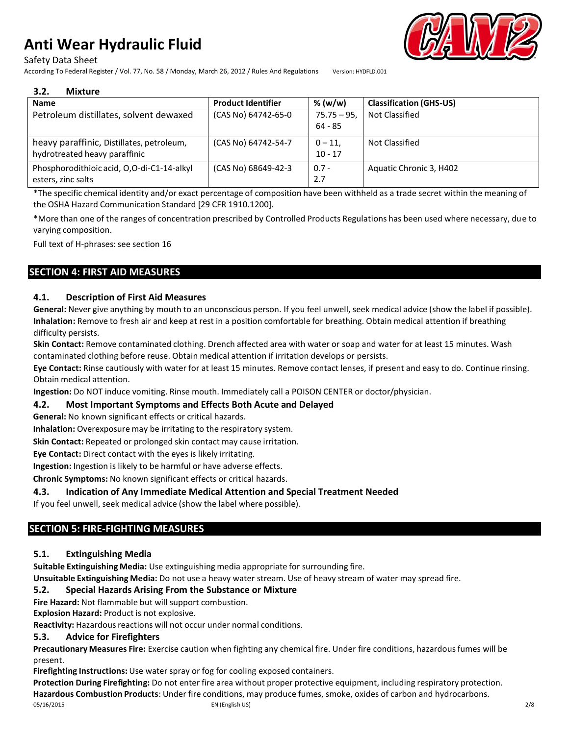Safety Data Sheet

According To Federal Register / Vol. 77, No. 58 / Monday, March 26, 2012 / Rules And Regulations Version: HYDFLD.001



#### **3.2. Mixture**

| <b>Name</b>                                                                | <b>Product Identifier</b> | % (w/w)                   | <b>Classification (GHS-US)</b> |
|----------------------------------------------------------------------------|---------------------------|---------------------------|--------------------------------|
| Petroleum distillates, solvent dewaxed                                     | (CAS No) 64742-65-0       | $75.75 - 95$<br>$64 - 85$ | Not Classified                 |
| heavy paraffinic, Distillates, petroleum,<br>hydrotreated heavy paraffinic | (CAS No) 64742-54-7       | $0 - 11.$<br>$10 - 17$    | Not Classified                 |
| Phosphorodithioic acid, O,O-di-C1-14-alkyl<br>esters, zinc salts           | (CAS No) 68649-42-3       | $0.7 -$<br>2.7            | Aquatic Chronic 3, H402        |

\*The specific chemical identity and/or exact percentage of composition have been withheld as a trade secret within the meaning of the OSHA Hazard Communication Standard [29 CFR 1910.1200].

\*More than one of the ranges of concentration prescribed by Controlled Products Regulations has been used where necessary, due to varying composition.

Full text of H-phrases: see section 16

## **SECTION 4: FIRST AID MEASURES**

## **4.1. Description of First Aid Measures**

**General:** Never give anything by mouth to an unconscious person. If you feel unwell, seek medical advice (show the label if possible). **Inhalation:** Remove to fresh air and keep at rest in a position comfortable for breathing. Obtain medical attention if breathing difficulty persists.

**Skin Contact:** Remove contaminated clothing. Drench affected area with water or soap and water for at least 15 minutes. Wash contaminated clothing before reuse. Obtain medical attention if irritation develops or persists.

**Eye Contact:** Rinse cautiously with water for at least 15 minutes. Remove contact lenses, if present and easy to do. Continue rinsing. Obtain medical attention.

**Ingestion:** Do NOT induce vomiting. Rinse mouth. Immediately call a POISON CENTER or doctor/physician.

## **4.2. Most Important Symptoms and Effects Both Acute and Delayed**

**General:** No known significant effects or critical hazards.

**Inhalation:** Overexposure may be irritating to the respiratory system.

**Skin Contact:** Repeated or prolonged skin contact may cause irritation.

**Eye Contact:** Direct contact with the eyes is likely irritating.

**Ingestion:** Ingestion is likely to be harmful or have adverse effects.

**Chronic Symptoms:** No known significant effects or critical hazards.

## **4.3. Indication of Any Immediate Medical Attention and Special Treatment Needed**

If you feel unwell, seek medical advice (show the label where possible).

## **SECTION 5: FIRE-FIGHTING MEASURES**

## **5.1. Extinguishing Media**

**Suitable Extinguishing Media:** Use extinguishing media appropriate for surrounding fire.

**Unsuitable Extinguishing Media:** Do not use a heavy water stream. Use of heavy stream of water may spread fire.

## **5.2. Special Hazards Arising From the Substance or Mixture**

**Fire Hazard:** Not flammable but will support combustion.

**Explosion Hazard:** Product is not explosive.

**Reactivity:** Hazardous reactions will not occur under normal conditions.

## **5.3. Advice for Firefighters**

**Precautionary Measures Fire:** Exercise caution when fighting any chemical fire. Under fire conditions, hazardousfumes will be present.

**Firefighting Instructions:** Use water spray or fog for cooling exposed containers.

05/16/2015 EN (English US) 2/8 **Protection During Firefighting:** Do not enter fire area without proper protective equipment, including respiratory protection. **Hazardous Combustion Products**: Under fire conditions, may produce fumes, smoke, oxides of carbon and hydrocarbons.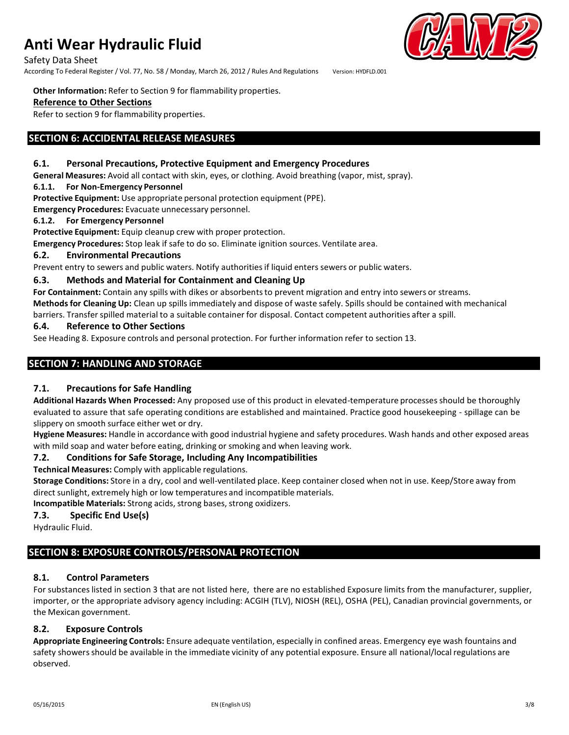Safety Data Sheet

According To Federal Register / Vol. 77, No. 58 / Monday, March 26, 2012 / Rules And Regulations Version: HYDFLD.001

#### **Other Information:** Refer to Section 9 for flammability properties.

## **Reference to Other Sections**

Refer to section 9 for flammability properties.

## **SECTION 6: ACCIDENTAL RELEASE MEASURES**

## **6.1. Personal Precautions, Protective Equipment and Emergency Procedures**

**General Measures:** Avoid all contact with skin, eyes, or clothing. Avoid breathing (vapor, mist, spray).

## **6.1.1. For Non-Emergency Personnel**

**Protective Equipment:** Use appropriate personal protection equipment (PPE).

**Emergency Procedures:** Evacuate unnecessary personnel.

## **6.1.2. For Emergency Personnel**

**Protective Equipment:** Equip cleanup crew with proper protection.

**Emergency Procedures:** Stop leak if safe to do so. Eliminate ignition sources. Ventilate area.

## **6.2. Environmental Precautions**

Prevent entry to sewers and public waters. Notify authoritiesif liquid enters sewers or public waters.

## **6.3. Methods and Material for Containment and Cleaning Up**

For **Containment:** Contain any spills with dikes or absorbents to prevent migration and entry into sewers or streams. **Methodsfor Cleaning Up:** Clean up spills immediately and dispose of waste safely. Spills should be contained with mechanical barriers. Transferspilled material to a suitable container for disposal. Contact competent authorities after a spill.

## **6.4. Reference to Other Sections**

See Heading 8. Exposure controls and personal protection. For further information refer to section 13.

## **SECTION 7: HANDLING AND STORAGE**

## **7.1. Precautions for Safe Handling**

**Additional Hazards When Processed:** Any proposed use of this product in elevated-temperature processes should be thoroughly evaluated to assure that safe operating conditions are established and maintained. Practice good housekeeping - spillage can be slippery on smooth surface either wet or dry.

**Hygiene Measures:** Handle in accordance with good industrial hygiene and safety procedures. Wash hands and other exposed areas with mild soap and water before eating, drinking or smoking and when leaving work.

## **7.2. Conditions for Safe Storage, Including Any Incompatibilities**

**Technical Measures:** Comply with applicable regulations.

**Storage Conditions:** Store in a dry, cool and well-ventilated place. Keep container closed when not in use. Keep/Store away from direct sunlight, extremely high or low temperatures and incompatible materials.

**Incompatible Materials:** Strong acids, strong bases, strong oxidizers.

## **7.3. Specific End Use(s)**

Hydraulic Fluid.

## **SECTION 8: EXPOSURE CONTROLS/PERSONAL PROTECTION**

## **8.1. Control Parameters**

For substanceslisted in section 3 that are not listed here, there are no established Exposure limits from the manufacturer, supplier, importer, or the appropriate advisory agency including: ACGIH (TLV), NIOSH (REL), OSHA (PEL), Canadian provincial governments, or the Mexican government.

## **8.2. Exposure Controls**

**Appropriate Engineering Controls:** Ensure adequate ventilation, especially in confined areas. Emergency eye wash fountains and safety showers should be available in the immediate vicinity of any potential exposure. Ensure all national/local regulations are observed.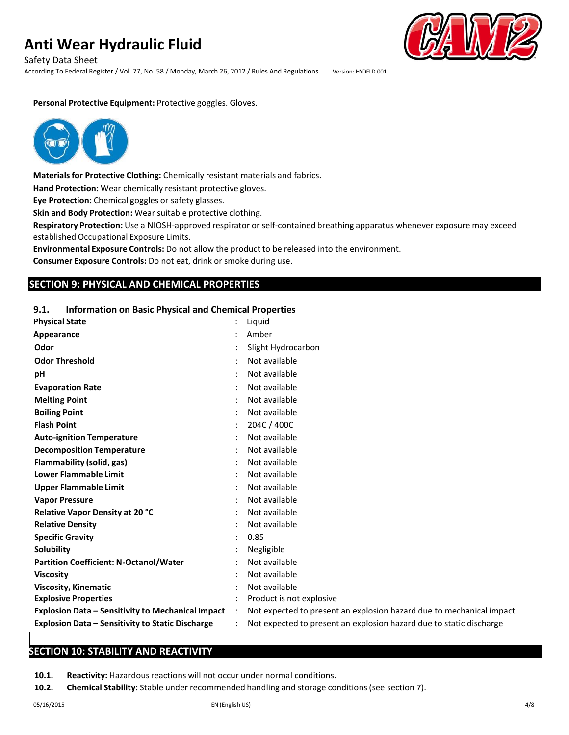Safety Data Sheet

According To Federal Register / Vol. 77, No. 58 / Monday, March 26, 2012 / Rules And Regulations Version: HYDFLD.001

#### **Personal Protective Equipment:** Protective goggles. Gloves.



**Materials for Protective Clothing:** Chemically resistant materials and fabrics.

**Hand Protection:** Wear chemically resistant protective gloves.

**Eye Protection:** Chemical goggles or safety glasses.

**Skin and Body Protection:** Wear suitable protective clothing.

**Respiratory Protection:** Use a NIOSH-approved respirator or self-contained breathing apparatus whenever exposure may exceed established Occupational Exposure Limits.

**Environmental Exposure Controls:** Do not allow the product to be released into the environment.

**Consumer Exposure Controls:** Do not eat, drink or smoke during use.

## **SECTION 9: PHYSICAL AND CHEMICAL PROPERTIES**

#### **9.1. Information on Basic Physical and Chemical Properties**

| <b>Physical State</b>                                    |                      | Liguid                                                               |
|----------------------------------------------------------|----------------------|----------------------------------------------------------------------|
| Appearance                                               |                      | Amber                                                                |
| Odor                                                     |                      | Slight Hydrocarbon                                                   |
| <b>Odor Threshold</b>                                    |                      | Not available                                                        |
| pH                                                       |                      | Not available                                                        |
| <b>Evaporation Rate</b>                                  |                      | Not available                                                        |
| <b>Melting Point</b>                                     |                      | Not available                                                        |
| <b>Boiling Point</b>                                     |                      | Not available                                                        |
| <b>Flash Point</b>                                       |                      | 204C / 400C                                                          |
| <b>Auto-ignition Temperature</b>                         |                      | Not available                                                        |
| <b>Decomposition Temperature</b>                         |                      | Not available                                                        |
| Flammability (solid, gas)                                |                      | Not available                                                        |
| <b>Lower Flammable Limit</b>                             |                      | Not available                                                        |
| <b>Upper Flammable Limit</b>                             |                      | Not available                                                        |
| <b>Vapor Pressure</b>                                    |                      | Not available                                                        |
| Relative Vapor Density at 20 °C                          |                      | Not available                                                        |
| <b>Relative Density</b>                                  |                      | Not available                                                        |
| <b>Specific Gravity</b>                                  |                      | 0.85                                                                 |
| Solubility                                               |                      | Negligible                                                           |
| <b>Partition Coefficient: N-Octanol/Water</b>            |                      | Not available                                                        |
| <b>Viscosity</b>                                         |                      | Not available                                                        |
| <b>Viscosity, Kinematic</b>                              |                      | Not available                                                        |
| <b>Explosive Properties</b>                              |                      | Product is not explosive                                             |
| <b>Explosion Data - Sensitivity to Mechanical Impact</b> | $\ddot{\phantom{a}}$ | Not expected to present an explosion hazard due to mechanical impact |
| <b>Explosion Data - Sensitivity to Static Discharge</b>  |                      | Not expected to present an explosion hazard due to static discharge  |
|                                                          |                      |                                                                      |

## **SECTION 10: STABILITY AND REACTIVITY**

**10.1.** Reactivity: Hazardous reactions will not occur under normal conditions.

**10.2. Chemical Stability:** Stable under recommended handling and storage conditions(see section 7).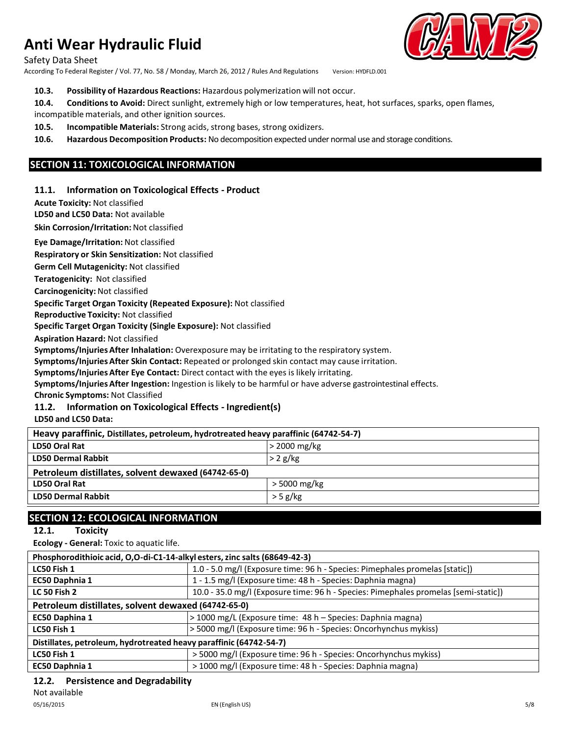Safety Data Sheet

According To Federal Register / Vol. 77, No. 58 / Monday, March 26, 2012 / Rules And Regulations Version: HYDFLD.001

## **10.3. Possibility of Hazardous Reactions:** Hazardous polymerization will not occur.

**10.4. Conditionsto Avoid:** Direct sunlight, extremely high or low temperatures, heat, hot surfaces, sparks, open flames, incompatible materials, and other ignition sources.

**10.5. Incompatible Materials:** Strong acids, strong bases, strong oxidizers.

**10.6. Hazardous Decomposition Products:** No decomposition expected under normal use and storage conditions.

## **SECTION 11: TOXICOLOGICAL INFORMATION**

## **11.1. Information on Toxicological Effects - Product**

**Acute Toxicity:** Not classified

**LD50 and LC50 Data:** Not available

**Skin Corrosion/Irritation:** Not classified

**Eye Damage/Irritation:** Not classified

**Respiratory or Skin Sensitization:** Not classified

**Germ Cell Mutagenicity:** Not classified

**Teratogenicity:** Not classified

**Carcinogenicity:** Not classified

**Specific Target Organ Toxicity (Repeated Exposure):** Not classified

**Reproductive Toxicity:** Not classified

**Specific Target Organ Toxicity (Single Exposure):** Not classified

**Aspiration Hazard:** Not classified

**Symptoms/Injuries After Inhalation:** Overexposure may be irritating to the respiratory system.

**Symptoms/Injuries After Skin Contact:** Repeated or prolonged skin contact may cause irritation.

**Symptoms/Injuries After Eye Contact:** Direct contact with the eyes is likely irritating.

**Symptoms/Injuries After Ingestion:** Ingestion is likely to be harmful or have adverse gastrointestinal effects.

**Chronic Symptoms:** Not Classified

## **11.2. Information on Toxicological Effects - Ingredient(s)**

**LD50 and LC50 Data:**

| Heavy paraffinic, Distillates, petroleum, hydrotreated heavy paraffinic (64742-54-7) |                |  |  |
|--------------------------------------------------------------------------------------|----------------|--|--|
| <b>LD50 Oral Rat</b>                                                                 | $>$ 2000 mg/kg |  |  |
| <b>LD50 Dermal Rabbit</b>                                                            | $> 2$ g/kg     |  |  |
| Petroleum distillates, solvent dewaxed (64742-65-0)                                  |                |  |  |
| LD50 Oral Rat                                                                        | $>$ 5000 mg/kg |  |  |
| <b>LD50 Dermal Rabbit</b>                                                            | $>$ 5 g/kg     |  |  |

## **SECTION 12: ECOLOGICAL INFORMATION**

**12.1. Toxicity**

**Ecology - General:** Toxic to aquatic life.

| Phosphorodithioic acid, O,O-di-C1-14-alkyl esters, zinc salts (68649-42-3) |                                                                                     |  |
|----------------------------------------------------------------------------|-------------------------------------------------------------------------------------|--|
| LC50 Fish 1                                                                | 1.0 - 5.0 mg/l (Exposure time: 96 h - Species: Pimephales promelas [static])        |  |
| EC50 Daphnia 1                                                             | 1 - 1.5 mg/l (Exposure time: 48 h - Species: Daphnia magna)                         |  |
| <b>LC 50 Fish 2</b>                                                        | 10.0 - 35.0 mg/l (Exposure time: 96 h - Species: Pimephales promelas [semi-static]) |  |
| Petroleum distillates, solvent dewaxed (64742-65-0)                        |                                                                                     |  |
| EC50 Daphina 1                                                             | >1000 mg/L (Exposure time: 48 h – Species: Daphnia magna)                           |  |
| LC50 Fish 1                                                                | > 5000 mg/l (Exposure time: 96 h - Species: Oncorhynchus mykiss)                    |  |
| Distillates, petroleum, hydrotreated heavy paraffinic (64742-54-7)         |                                                                                     |  |
| LC50 Fish 1                                                                | > 5000 mg/l (Exposure time: 96 h - Species: Oncorhynchus mykiss)                    |  |
| <b>EC50 Daphnia 1</b>                                                      | > 1000 mg/l (Exposure time: 48 h - Species: Daphnia magna)                          |  |

## **12.2. Persistence and Degradability**

Not available

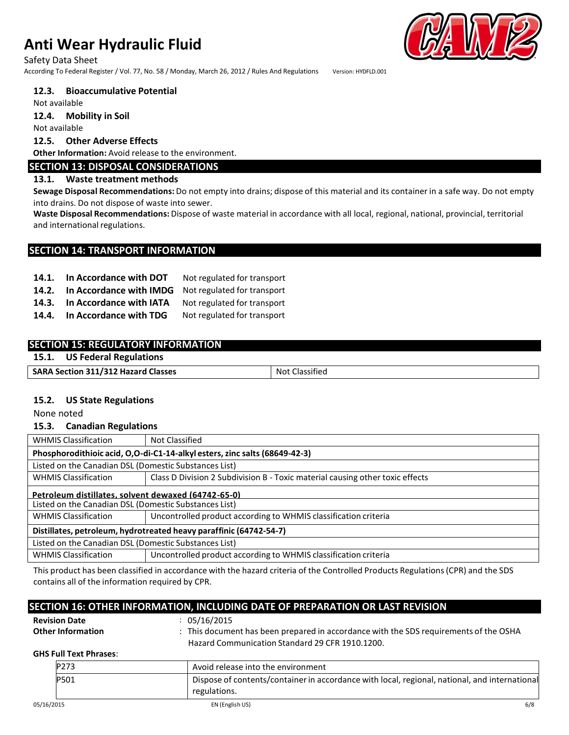## Safety Data Sheet

According To Federal Register / Vol. 77, No. 58 / Monday, March 26, 2012 / Rules And Regulations Version: HYDFLD.001

## **12.3. Bioaccumulative Potential**

Not available

**12.4. Mobility in Soil**

Not available

## **12.5. Other Adverse Effects**

**Other Information:** Avoid release to the environment.

## **SECTION 13: DISPOSAL CONSIDERATIONS**

## **13.1. Waste treatment methods**

**Sewage Disposal Recommendations:** Do not empty into drains; dispose of this material and its container in a safe way. Do not empty into drains. Do not dispose of waste into sewer.

**Waste Disposal Recommendations:** Dispose of waste material in accordance with all local, regional, national, provincial, territorial and international regulations.

## **SECTION 14: TRANSPORT INFORMATION**

| 14.1. | In Accordance with DOT  | Not regulated for transport |
|-------|-------------------------|-----------------------------|
| 14.2. | In Accordance with IMDG | Not regulated for transport |
| 14.3. | In Accordance with IATA | Not regulated for transport |
| 14.4. | In Accordance with TDG  | Not regulated for transport |

## **SECTION 15: REGULATORY INFORMATION**

## **15.1. US Federal Regulations**

| <b>SARA Section 311/312 Hazard Classes</b> | <b>Not Classified</b> |
|--------------------------------------------|-----------------------|
|--------------------------------------------|-----------------------|

## **15.2. US State Regulations**

None noted

## **15.3. Canadian Regulations**

| <b>WHMIS Classification</b>                                                | Not Classified                                                                |  |  |
|----------------------------------------------------------------------------|-------------------------------------------------------------------------------|--|--|
| Phosphorodithioic acid, O,O-di-C1-14-alkyl esters, zinc salts (68649-42-3) |                                                                               |  |  |
| Listed on the Canadian DSL (Domestic Substances List)                      |                                                                               |  |  |
| <b>WHMIS Classification</b>                                                | Class D Division 2 Subdivision B - Toxic material causing other toxic effects |  |  |
| Petroleum distillates, solvent dewaxed (64742-65-0)                        |                                                                               |  |  |
| Listed on the Canadian DSL (Domestic Substances List)                      |                                                                               |  |  |
| <b>WHMIS Classification</b>                                                | Uncontrolled product according to WHMIS classification criteria               |  |  |
| Distillates, petroleum, hydrotreated heavy paraffinic (64742-54-7)         |                                                                               |  |  |
| Listed on the Canadian DSL (Domestic Substances List)                      |                                                                               |  |  |
| <b>WHMIS Classification</b>                                                | Uncontrolled product according to WHMIS classification criteria               |  |  |

This product has been classified in accordance with the hazard criteria of the Controlled Products Regulations(CPR) and the SDS contains all of the information required by CPR.

|                               | SECTION 16: OTHER INFORMATION, INCLUDING DATE OF PREPARATION OR LAST REVISION                                 |     |
|-------------------------------|---------------------------------------------------------------------------------------------------------------|-----|
| <b>Revision Date</b>          | : 05/16/2015                                                                                                  |     |
| <b>Other Information</b>      | : This document has been prepared in accordance with the SDS requirements of the OSHA                         |     |
|                               | Hazard Communication Standard 29 CFR 1910.1200.                                                               |     |
| <b>GHS Full Text Phrases:</b> |                                                                                                               |     |
| P273                          | Avoid release into the environment                                                                            |     |
| P501                          | Dispose of contents/container in accordance with local, regional, national, and international<br>regulations. |     |
| 05/16/2015                    | EN (English US)                                                                                               | 6/8 |